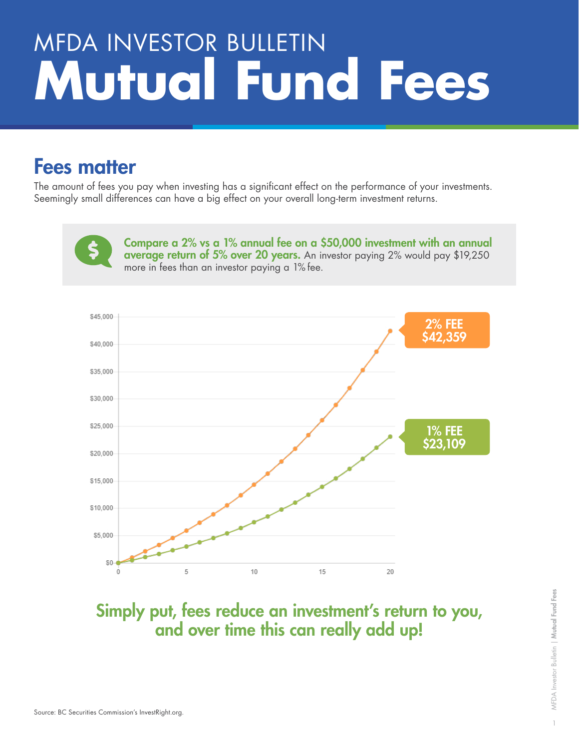## **Mutual Fund Fees** MFDA INVESTOR BULLETIN

## Fees matter

The amount of fees you pay when investing has a significant effect on the performance of your investments. Seemingly small differences can have a big effect on your overall long-term investment returns.



Compare a 2% vs a 1% annual fee on a \$50,000 investment with an annual average return of 5% over 20 years. An investor paying 2% would pay \$19,250 more in fees than an investor paying a 1% fee.



## Simply put, fees reduce an investment's return to you, and over time this can really add up!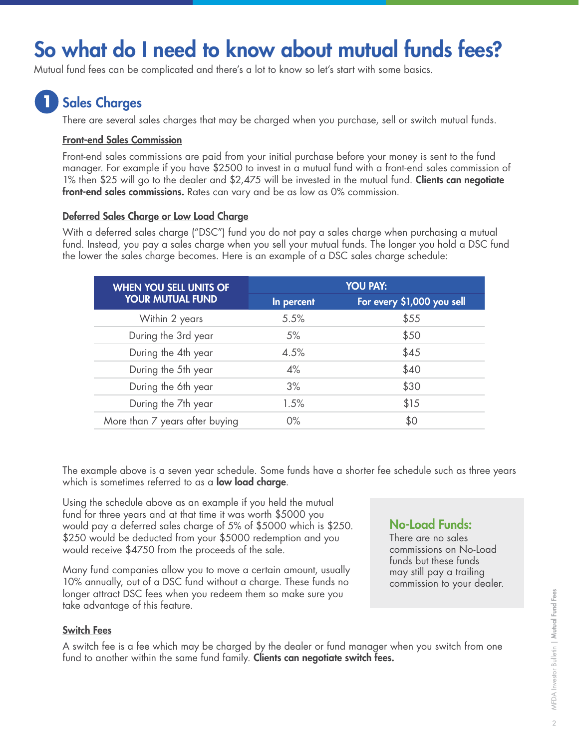## So what do I need to know about mutual funds fees?

Mutual fund fees can be complicated and there's a lot to know so let's start with some basics.

### **Sales Charges**

There are several sales charges that may be charged when you purchase, sell or switch mutual funds.

#### Front-end Sales Commission

Front-end sales commissions are paid from your initial purchase before your money is sent to the fund manager. For example if you have \$2500 to invest in a mutual fund with a front-end sales commission of 1% then \$25 will go to the dealer and \$2,475 will be invested in the mutual fund. Clients can negotiate front-end sales commissions. Rates can vary and be as low as 0% commission.

#### Deferred Sales Charge or Low Load Charge

With a deferred sales charge ("DSC") fund you do not pay a sales charge when purchasing a mutual fund. Instead, you pay a sales charge when you sell your mutual funds. The longer you hold a DSC fund the lower the sales charge becomes. Here is an example of a DSC sales charge schedule:

| <b>WHEN YOU SELL UNITS OF</b><br><b>YOUR MUTUAL FUND</b> | <b>YOU PAY:</b> |                            |
|----------------------------------------------------------|-----------------|----------------------------|
|                                                          | In percent      | For every \$1,000 you sell |
| Within 2 years                                           | 5.5%            | \$55                       |
| During the 3rd year                                      | 5%              | \$50                       |
| During the 4th year                                      | 4.5%            | \$45                       |
| During the 5th year                                      | 4%              | \$40                       |
| During the 6th year                                      | 3%              | \$30                       |
| During the 7th year                                      | 1.5%            | \$15                       |
| More than 7 years after buying                           | $0\%$           | \$0                        |

The example above is a seven year schedule. Some funds have a shorter fee schedule such as three years which is sometimes referred to as a **low load charge**.

Using the schedule above as an example if you held the mutual fund for three years and at that time it was worth \$5000 you would pay a deferred sales charge of 5% of \$5000 which is \$250. \$250 would be deducted from your \$5000 redemption and you would receive \$4750 from the proceeds of the sale.

Many fund companies allow you to move a certain amount, usually 10% annually, out of a DSC fund without a charge. These funds no longer attract DSC fees when you redeem them so make sure you take advantage of this feature.

#### Switch Fees

A switch fee is a fee which may be charged by the dealer or fund manager when you switch from one fund to another within the same fund family. Clients can negotiate switch fees.

#### No-Load Funds:

There are no sales commissions on No-Load funds but these funds may still pay a trailing commission to your dealer.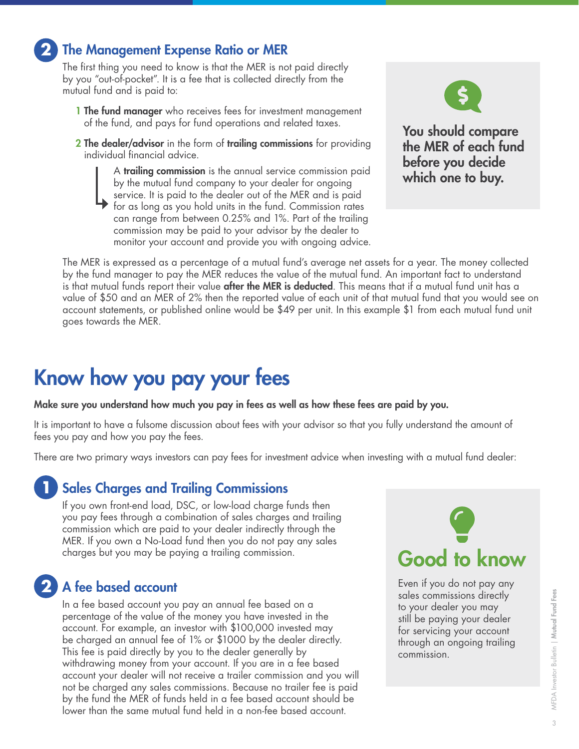#### The Management Expense Ratio or MER

**2**

The first thing you need to know is that the MER is not paid directly by you "out-of-pocket". It is a fee that is collected directly from the mutual fund and is paid to:

- **1 The fund manager** who receives fees for investment management of the fund, and pays for fund operations and related taxes.
- 2 The dealer/advisor in the form of trailing commissions for providing individual financial advice.

A trailing commission is the annual service commission paid by the mutual fund company to your dealer for ongoing service. It is paid to the dealer out of the MER and is paid for as long as you hold units in the fund. Commission rates can range from between 0.25% and 1%. Part of the trailing commission may be paid to your advisor by the dealer to monitor your account and provide you with ongoing advice.



You should compare the MER of each fund before you decide which one to buy.

The MER is expressed as a percentage of a mutual fund's average net assets for a year. The money collected by the fund manager to pay the MER reduces the value of the mutual fund. An important fact to understand is that mutual funds report their value **after the MER is deducted**. This means that if a mutual fund unit has a value of \$50 and an MER of 2% then the reported value of each unit of that mutual fund that you would see on account statements, or published online would be \$49 per unit. In this example \$1 from each mutual fund unit goes towards the MER.

## Know how you pay your fees

#### Make sure you understand how much you pay in fees as well as how these fees are paid by you.

It is important to have a fulsome discussion about fees with your advisor so that you fully understand the amount of fees you pay and how you pay the fees.

There are two primary ways investors can pay fees for investment advice when investing with a mutual fund dealer:

#### Sales Charges and Trailing Commissions **1**

If you own front-end load, DSC, or low-load charge funds then you pay fees through a combination of sales charges and trailing commission which are paid to your dealer indirectly through the MER. If you own a No-Load fund then you do not pay any sales charges but you may be paying a trailing commission.

#### 2 A fee based account

In a fee based account you pay an annual fee based on a percentage of the value of the money you have invested in the account. For example, an investor with \$100,000 invested may be charged an annual fee of 1% or \$1000 by the dealer directly. This fee is paid directly by you to the dealer generally by withdrawing money from your account. If you are in a fee based account your dealer will not receive a trailer commission and you will not be charged any sales commissions. Because no trailer fee is paid by the fund the MER of funds held in a fee based account should be lower than the same mutual fund held in a non-fee based account.



Even if you do not pay any sales commissions directly to your dealer you may still be paying your dealer for servicing your account through an ongoing trailing commission.